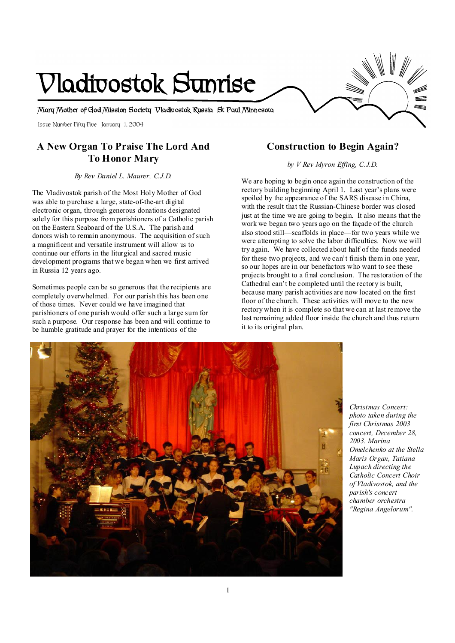# **Vladivostok Sunrise**

**Mary Mother of God Mission Society Vladivostok Russia St Paul Minnesota** 

Issue Number Fifty Five January 1, 2004

## **A New Organ To Praise The Lord And To Honor Mary**

*By Rev Daniel L. Maurer, C.J.D.* 

The Vladivostok parish of the Most Holy Mother of God was able to purchase a large, state-of-the-art digital electronic organ, through generous donations designated solely for this purpose from parishioners of a Catholic parish on the Eastern Seaboard of the U.S.A. The parish and donors wish to remain anonymous. The acquisition of such a magnificent and versatile instrument will allow us to continue our efforts in the liturgical and sacred music development programs that we began when we first arrived in Russia 12 years ago.

Sometimes people can be so generous that the recipients are completely overwhelmed. For our parish this has been one of those times. Never could we have imagined that parishioners of one parish would offer such a large sum for such a purpose. Our response has been and will continue to be humble gratitude and prayer for the intentions of the

## **Construction to Begin Again?**

*by V Rev Myron Effing, C.J.D.* 

We are hoping to begin once again the construction of the rectory building beginning April 1. Last year's plans were spoiled by the appearance of the SARS disease in China, with the result that the Russian-Chinese border was closed just at the time we are going to begin. It also means that the work we began two years ago on the façade of the church also stood still—scaffolds in place—for two years while we were attempting to solve the labor difficulties. Now we will try again. We have collected about half of the funds needed for these two projects, and we can't finish them in one year, so our hopes are in our benefactors who want to see these projects brought to a final conclusion. The restoration of the Cathedral can't be completed until the rectory is built, because many parish activities are now located on the first floor of the church. These activities will move to the new rectory when it is complete so that we can at last remove the last remaining added floor inside the church and thus return it to its original plan.



*Christmas Concert: photo taken during the first Christmas 2003 concert, December 28, 2003. Marina Omelchenko at the Stella Maris Organ, Tatiana Lupach directing the Catholic Concert Choir of Vladivostok, and the parish's concert chamber orchestra "Regina Angelorum".*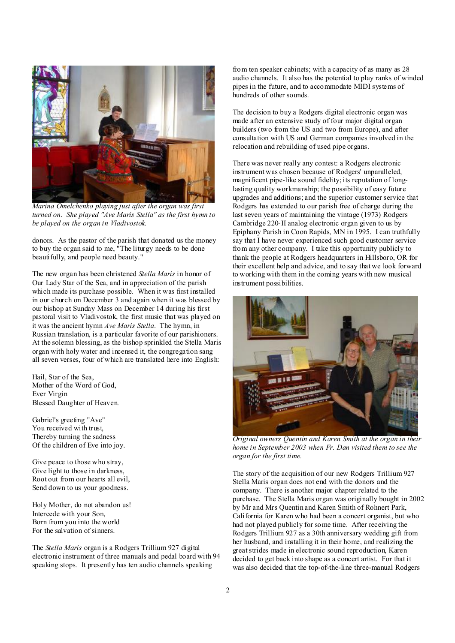

*Marina Omelchenko playing just after the organ was first turned on. She played "Ave Maris Stella" as the first hymn to be played on the organ in Vladivostok.* 

donors. As the pastor of the parish that donated us the money to buy the organ said to me, "The liturgy needs to be done beautifully, and people need beauty."

The new organ has been christened *Stella Maris* in honor of Our Lady Star of the Sea, and in appreciation of the parish which made its purchase possible. When it was first installed in our church on December 3 and again when it was blessed by our bishop at Sunday Mass on December 14 during his first pastoral visit to Vladivostok, the first music that was played on it was the ancient hymn *Ave Maris Stella*. The hymn, in Russian translation, is a particular favorite of our parishioners. At the solemn blessing, as the bishop sprinkled the Stella Maris organ with holy water and incensed it, the congregation sang all seven verses, four of which are translated here into English:

Hail, Star of the Sea, Mother of the Word of God, Ever Virgin Blessed Daughter of Heaven.

Gabriel's greeting "Ave" You received with trust, Thereby turning the sadness Of the children of Eve into joy.

Give peace to those who stray, Give light to those in darkness, Root out from our hearts all evil, Send down to us your goodness.

Holy Mother, do not abandon us! Intercede with your Son, Born from you into the world For the salvation of sinners.

The *Stella Maris* organ is a Rodgers Trillium 927 digital electronic instrument of three manuals and pedal board with 94 speaking stops. It presently has ten audio channels speaking

from ten speaker cabinets; with a capacity of as many as 28 audio channels. It also has the potential to play ranks of winded pipes in the future, and to accommodate MIDI systems of hundreds of other sounds.

The decision to buy a Rodgers digital electronic organ was made after an extensive study of four major digital organ builders (two from the US and two from Europe), and after consultation with US and German companies involved in the relocation and rebuilding of used pipe organs.

There was never really any contest: a Rodgers electronic instrument was chosen because of Rodgers' unparalleled, magnificent pipe-like sound fidelity; its reputation of longlasting quality workmanship; the possibility of easy future upgrades and additions; and the superior customer service that Rodgers has extended to our parish free of charge during the last seven years of maintaining the vintage (1973) Rodgers Cambridge 220-II analog electronic organ given to us by Epiphany Parish in Coon Rapids, MN in 1995. I can truthfully say that I have never experienced such good customer service from any other company. I take this opportunity publicly to thank the people at Rodgers headquarters in Hillsboro, OR for their excellent help and advice, and to say that we look forward to working with them in the coming years with new musical instrument possibilities.



*Original owners Quentin and Karen Smith at the organ in their home in September 2003 when Fr. Dan visited them to see the organ for the first time.*

The story of the acquisition of our new Rodgers Trillium 927 Stella Maris organ does not end with the donors and the company. There is another major chapter related to the purchase. The Stella Maris organ was originally bought in 2002 by Mr and Mrs Quentin and Karen Smith of Rohnert Park, California for Karen who had been a concert organist, but who had not played publicly for some time. After receiving the Rodgers Trillium 927 as a 30th anniversary wedding gift from her husband, and installing it in their home, and realizing the greatstrides made in electronic sound reproduction, Karen decided to get back into shape as a concert artist. For that it was also decided that the top-of-the-line three-manual Rodgers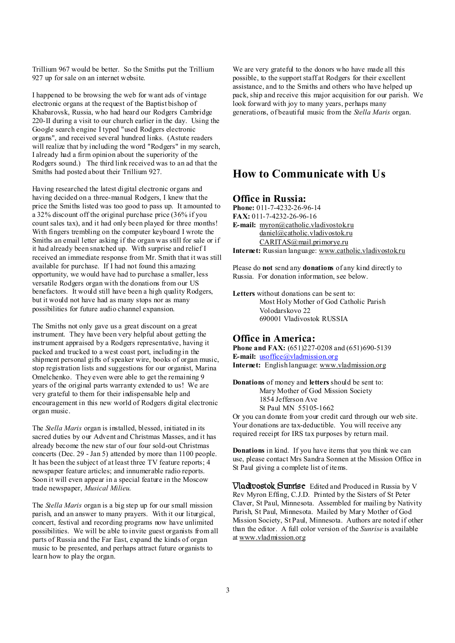Trillium 967 would be better. So the Smiths put the Trillium 927 up for sale on an internet website.

I happened to be browsing the web for want ads of vintage electronic organs at the request of the Baptist bishop of Khabarovsk, Russia, who had heard our Rodgers Cambridge 220-II during a visit to our church earlier in the day. Using the Google search engine I typed "used Rodgers electronic organs", and received several hundred links. (Astute readers will realize that by including the word "Rodgers" in my search, I already had a firm opinion about the superiority of the Rodgers sound.) The third link received was to an ad that the Smiths had posted about their Trillium 927.

Having researched the latest digital electronic organs and having decided on a three-manual Rodgers, I knew that the price the Smiths listed was too good to pass up. It amounted to a 32% discount off the original purchase price (36% if you count sales tax), and it had only been played for three months! With fingers trembling on the computer keyboard I wrote the Smiths an email letter asking if the organ was still for sale or if it had already been snatched up. With surprise and relief I received an immediate response from Mr. Smith that it was still available for purchase. If I had not found this amazing opportunity, we would have had to purchase a smaller, less versatile Rodgers organ with the donations from our US benefactors. It would still have been a high quality Rodgers, but it would not have had as many stops nor as many possibilities for future audio channel expansion.

The Smiths not only gave us a great discount on a great instrument. They have been very helpful about getting the instrument appraised by a Rodgers representative, having it packed and trucked to a west coast port, including in the shipment personal gifts of speaker wire, books of organ music, stop registration lists and suggestions for our organist, Marina Omelchenko. They even were able to get the remaining 9 years of the original parts warranty extended to us! We are very grateful to them for their indispensable help and encouragement in this new world of Rodgers digital electronic organ music.

The *Stella Maris* organ is installed, blessed, initiated in its sacred duties by our Advent and Christmas Masses, and it has already become the new star of our four sold-out Christmas concerts (Dec. 29 - Jan 5) attended by more than 1100 people. It has been the subject of at least three TV feature reports; 4 newspaper feature articles; and innumerable radio reports. Soon it will even appear in a special feature in the Moscow trade newspaper, *Musical Milieu*.

The *Stella Maris* organ is a big step up for our small mission parish, and an answer to many prayers. With it our liturgical, concert, festival and recording programs now have unlimited possibilities. We will be able to invite guest organists from all parts of Russia and the Far East, expand the kinds of organ music to be presented, and perhaps attract future organists to learn how to play the organ.

We are very grateful to the donors who have made all this possible, to the support staff at Rodgers for their excellent assistance, and to the Smiths and others who have helped up pack, ship and receive this major acquisition for our parish. We look forward with joy to many years, perhaps many generations, of beautiful music from the *Stella Maris* organ.

# **How to Communicate with Us**

#### **Office in Russia:**

**Phone:** 011-7-4232-26-96-14 **FAX:** 011-7-4232-26-96-16 **E-mail:** [myron@catholic.vladivostok.ru](mailto:myron@catholic.vladivostok.ru) [daniel@catholic.vladivostok.ru](mailto:daniel@catholic.vladivostok.ru) [CARITAS@mail.primorye.ru](mailto:CARITAS@mail.primorye.ru) **Internet:** Russian language: [www.catholic.vladivostok.ru](http://www.catholic.vladivostok.ru)

Please do **not** send any **donations** of any kind directly to Russia. For donation information, see below.

**Letters** without donations can be sent to: Most Holy Mother of God Catholic Parish Volodarskovo 22 690001 Vladivostok RUSSIA

#### **Office in America:**

**Phone and FAX:** (651)227-0208 and (651)690-5139 **E-mail:** [usoffice@vladmission.org](mailto:usoffice@vladmission.org) **Internet:** English language: [www.vladmission.org](http://www.vladmission.org)

**Donations** of money and **letters** should be sent to: Mary Mother of God Mission Society 1854 Jefferson Ave St Paul MN 55105-1662

Or you can donate from your credit card through our web site. Your donations are tax-deductible. You will receive any required receipt for IRS tax purposes by return mail.

**Donations** in kind. If you have items that you think we can use, please contact Mrs Sandra Sonnen at the Mission Office in St Paul giving a complete list of items.

**Vladivostok Sunrise** Edited and Produced in Russia by V Rev Myron Effing, C.J.D. Printed by the Sisters of St Peter Claver, St Paul, Minnesota. Assembled for mailing by Nativity Parish, St Paul, Minnesota. Mailed by Mary Mother of God Mission Society, St Paul, Minnesota. Authors are noted if other than the editor. A full color version of the *Sunrise* is available at [www.vladmission.org](http://www.vladmission.org)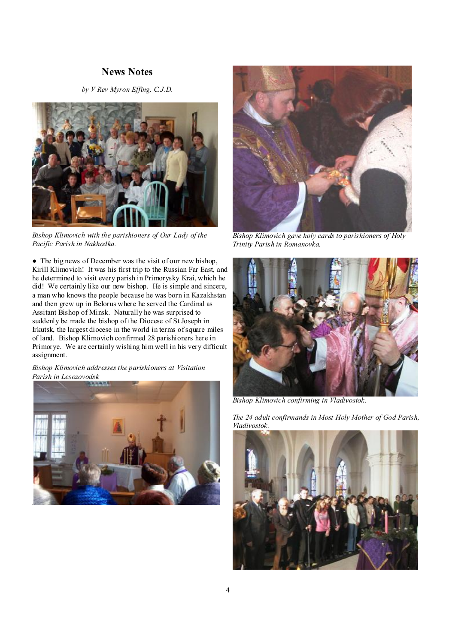### **News Notes**

*by V Rev Myron Effing, C.J.D.*



*Bishop Klimovich with the parishioners of Our Lady of the Pacific Parish in Nakhodka.* 

• The big news of December was the visit of our new bishop, Kirill Klimovich! It was his first trip to the Russian Far East, and he determined to visit every parish in Primorysky Krai, which he did! We certainly like our new bishop. He is simple and sincere, a man who knows the people because he was born in Kazakhstan and then grew up in Belorus where he served the Cardinal as Assitant Bishop of Minsk. Naturally he was surprised to suddenly be made the bishop of the Diocese of St Joseph in Irkutsk, the largest diocese in the world in terms ofsquare miles of land. Bishop Klimovich confirmed 28 parishioners here in Primorye. We are certainly wishing him well in his very difficult assignment.

*Bishop Klimovich addresses the parishioners at Visitation Parish in Lesozovodsk* 





*Bishop Klimovich gave holy cards to parishioners of Holy Trinity Parish in Romanovka.* 



*Bishop Klimovich confirming in Vladivostok.* 

*The 24 adult confirmands in Most Holy Mother of God Parish, Vladivostok.* 

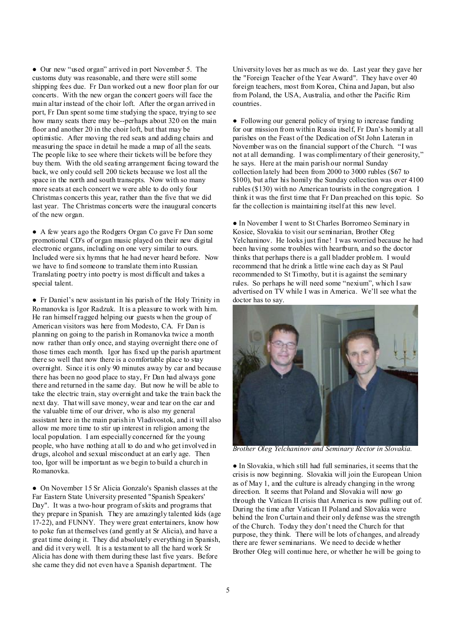● Our new "used organ" arrived in port November 5. The customs duty was reasonable, and there were still some shipping fees due. Fr Dan worked out a new floor plan for our concerts. With the new organ the concert goers will face the main altar instead of the choir loft. After the organ arrived in port, Fr Dan spent some time studying the space, trying to see how many seats there may be--perhaps about 320 on the main floor and another 20 in the choir loft, but that may be optimistic. After moving the red seats and adding chairs and measuring the space in detail he made a map of all the seats. The people like to see where their tickets will be before they buy them. With the old seating arrangement facing toward the back, we only could sell 200 tickets because we lost all the space in the north and south transepts. Now with so many more seats at each concert we were able to do only four Christmas concerts this year, rather than the five that we did last year. The Christmas concerts were the inaugural concerts of the new organ.

● A few years ago the Rodgers Organ Co gave Fr Dan some promotional CD's of organ music played on their new digital electronic organs, including on one very similar to ours. Included were six hymns that he had never heard before. Now we have to find someone to translate them into Russian. Translating poetry into poetry is most difficult and takes a special talent.

● Fr Daniel's new assistant in his parish of the Holy Trinity in Romanovka is Igor Radzuk. It is a pleasure to work with him. He ran himself ragged helping our guests when the group of American visitors was here from Modesto, CA. Fr Dan is planning on going to the parish in Romanovka twice a month now rather than only once, and staying overnight there one of those times each month. Igor has fixed up the parish apartment there so well that now there is a comfortable place to stay overnight. Since it is only 90 minutes away by car and because there has been no good place to stay, Fr Dan had always gone there and returned in the same day. But now he will be able to take the electric train, stay overnight and take the train back the next day. That will save money, wear and tear on the car and the valuable time of our driver, who is also my general assistant here in the main parish in Vladivostok, and it will also allow me more time to stir up interest in religion among the local population. I am especially concerned for the young people, who have nothing at all to do and who get involved in drugs, alcohol and sexual misconduct at an early age. Then too, Igor will be important as we begin to build a church in Romanovka.

● On November 15 Sr Alicia Gonzalo's Spanish classes at the Far Eastern State University presented "Spanish Speakers' Day". It was a two-hour program ofskits and programs that they prepare in Spanish. They are amazingly talented kids (age 17-22), and FUNNY. They were great entertainers, know how to poke fun at themselves (and gently at Sr Alicia), and have a great time doing it. They did absolutely everything in Spanish, and did it very well. It is a testament to all the hard work Sr Alicia has done with them during these last five years. Before she came they did not even have a Spanish department. The

University loves her as much as we do. Last year they gave her the "Foreign Teacher of the Year Award". They have over 40 foreign teachers, most from Korea, China and Japan, but also from Poland, the USA, Australia, and other the Pacific Rim countries.

● Following our general policy of trying to increase funding for our mission from within Russia itself, Fr Dan's homily at all parishes on the Feast of the Dedication of St John Lateran in November was on the financial support of the Church. "I was not at all demanding. I was complimentary of their generosity," he says. Here at the main parish our normal Sunday collection lately had been from 2000 to 3000 rubles (\$67 to \$100), but after his homily the Sunday collection was over 4100 rubles (\$130) with no American tourists in the congregation. I think it was the first time that Fr Dan preached on this topic. So far the collection is maintaining itself at this new level.

● In November I went to St Charles Borromeo Seminary in Kosice, Slovakia to visit our seminarian, Brother Oleg Yelchaninov. He looks just fine! I was worried because he had been having some troubles with heartburn, and so the doctor thinks that perhaps there is a gall bladder problem. I would recommend that he drink a little wine each day as St Paul recommended to St Timothy, but it is against the seminary rules. So perhaps he will need some "nexium", which Isaw advertised on TV while I was in America. We'll see what the doctor has to say.



*Brother Oleg Yelchaninov and Seminary Rector in Slovakia.* 

● In Slovakia, which still had full seminaries, it seems that the crisis is now beginning. Slovakia will join the European Union as of May 1, and the culture is already changing in the wrong direction. It seems that Poland and Slovakia will now go through the Vatican II crisis that America is now pulling out of. During the time after Vatican II Poland and Slovakia were behind the Iron Curtain and their only defense was the strength of the Church. Today they don't need the Church for that purpose, they think. There will be lots of changes, and already there are fewer seminarians. We need to decide whether Brother Oleg will continue here, or whether he will be going to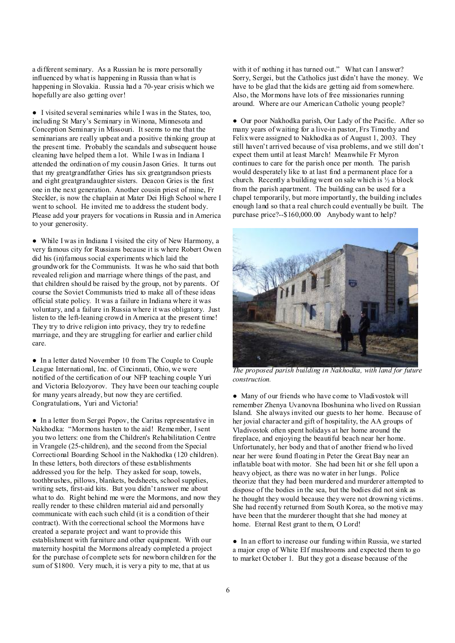a different seminary. As a Russian he is more personally influenced by what is happening in Russia than what is happening in Slovakia. Russia had a 70-year crisis which we hopefully are also getting over!

● I visited several seminaries while I was in the States, too, including St Mary's Seminary in Winona, Minnesota and Conception Seminary in Missouri. It seems to me that the seminarians are really upbeat and a positive thinking group at the present time. Probably the scandals and subsequent house cleaning have helped them a lot. While I was in Indiana I attended the ordination of my cousin Jason Gries. It turns out that my greatgrandfather Gries has six greatgrandson priests and eight greatgrandaughter sisters. Deacon Gries is the first one in the next generation. Another cousin priest of mine, Fr Steckler, is now the chaplain at Mater Dei High School where I went to school. He invited me to address the student body. Please add your prayers for vocations in Russia and in America to your generosity.

● While I was in Indiana I visited the city of New Harmony, a very famous city for Russians because it is where Robert Owen did his (in)famous social experiments which laid the groundwork for the Communists. It was he who said that both revealed religion and marriage where things of the past, and that children should be raised by the group, not by parents. Of course the Soviet Communists tried to make all of these ideas official state policy. It was a failure in Indiana where it was voluntary, and a failure in Russia where it was obligatory. Just listen to the left-leaning crowd in America at the present time! They try to drive religion into privacy, they try to redefine marriage, and they are struggling for earlier and earlier child care.

● In a letter dated November 10 from The Couple to Couple League International, Inc. of Cincinnati, Ohio, we were notified of the certification of our NFP teaching couple Yuri and Victoria Belozyorov. They have been our teaching couple for many years already, but now they are certified. Congratulations, Yuri and Victoria!

● In a letter from Sergei Popov, the Caritas representative in Nakhodka: "Mormons hasten to the aid! Remember, Isent you two letters: one from the Children's Rehabilitation Centre in Vrangele (25-children), and the second from the Special Correctional Boarding School in the Nakhodka (120 children). In these letters, both directors of these establishments addressed you for the help. They asked for soap, towels, toothbrushes, pillows, blankets, bedsheets, school supplies, writing sets, first-aid kits. But you didn't answer me about what to do. Right behind me were the Mormons, and now they really render to these children material aid and personally communicate with each such child (it is a condition of their contract). With the correctional school the Mormons have created a separate project and want to provide this establishment with furniture and other equipment. With our maternity hospital the Mormons already completed a project for the purchase of complete sets for newborn children for the sum of \$1800. Very much, it is very a pity to me, that at us

with it of nothing it has turned out." What can I answer? Sorry, Sergei, but the Catholics just didn't have the money. We have to be glad that the kids are getting aid from somewhere. Also, the Mormons have lots of free missionaries running around. Where are our American Catholic young people?

● Our poor Nakhodka parish, Our Lady of the Pacific. After so many years of waiting for a live-in pastor, Frs Timothy and Felix were assigned to Nakhodka as of August 1, 2003. They still haven't arrived because of visa problems, and we still don't expect them until at least March! Meanwhile Fr Myron continues to care for the parish once per month. The parish would desperately like to at last find a permanent place for a church. Recently a building went on sale which is  $\frac{1}{2}$  a block from the parish apartment. The building can be used for a chapel temporarily, but more importantly, the building includes enough land so that a real church could eventually be built. The purchase price?--\$160,000.00 Anybody want to help?



*The proposed parish building in Nakhodka, with land for future construction.* 

● Many of our friends who have come to Vladivostok will remember Zhenya Uvanovna Iboshunina who lived on Russian Island. She always invited our guests to her home. Because of her jovial character and gift of hospitality, the AA groups of Vladivostok often spent holidays at her home around the fireplace, and enjoying the beautiful beach near her home. Unfortunately, her body and that of another friend who lived near her were found floating in Peter the Great Bay near an inflatable boat with motor. She had been hit or she fell upon a heavy object, as there was no water in her lungs. Police theorize that they had been murdered and murderer attempted to dispose of the bodies in the sea, but the bodies did not sink as he thought they would because they were not drowning victims. She had recently returned from South Korea, so the motive may have been that the murderer thought that she had money at home. Eternal Rest grant to them, O Lord!

● In an effort to increase our funding within Russia, we started a major crop of White Elf mushrooms and expected them to go to market October 1. But they got a disease because of the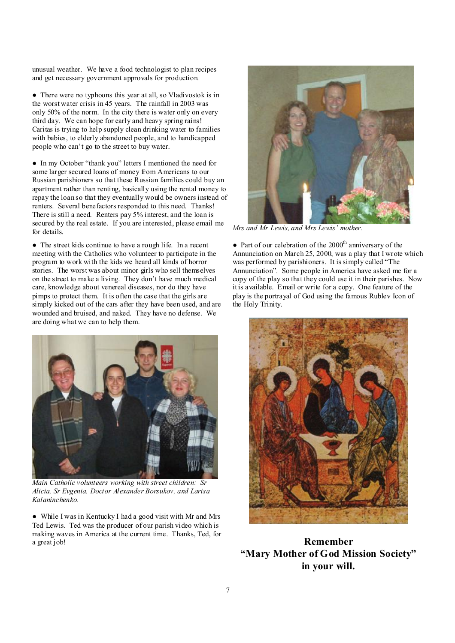unusual weather. We have a food technologist to plan recipes and get necessary government approvals for production.

● There were no typhoons this year at all, so Vladivostok is in the worst water crisis in 45 years. The rainfall in 2003 was only 50% of the norm. In the city there is water only on every third day. We can hope for early and heavy spring rains! Caritas is trying to help supply clean drinking water to families with babies, to elderly abandoned people, and to handicapped people who can't go to the street to buy water.

● In my October "thank you" letters I mentioned the need for some larger secured loans of money from Americans to our Russian parishioners so that these Russian families could buy an apartment rather than renting, basically using the rental money to repay the loan so that they eventually would be owners instead of renters. Several benefactors responded to this need. Thanks! There is still a need. Renters pay 5% interest, and the loan is secured by the real estate. If you are interested, please email me for details.

● The street kids continue to have a rough life. In a recent meeting with the Catholics who volunteer to participate in the program to work with the kids we heard all kinds of horror stories. The worst was about minor girls who sell themselves on the street to make a living. They don't have much medical care, knowledge about venereal diseases, nor do they have pimps to protect them. It is often the case that the girls are simply kicked out of the cars after they have been used, and are wounded and bruised, and naked. They have no defense. We are doing what we can to help them.



*Main Catholic volunteers working with street children: Sr Alicia, Sr Evgenia, Doctor Alexander Borsukov, and Larisa Kalaninchenko.* 

● While I was in Kentucky I had a good visit with Mr and Mrs Ted Lewis. Ted was the producer of our parish video which is making waves in America at the current time. Thanks, Ted, for a great job!



*Mrs and Mr Lewis, and Mrs Lewis' mother.*

• Part of our celebration of the  $2000<sup>th</sup>$  anniversary of the Annunciation on March 25, 2000, was a play that I wrote which was performed by parishioners. It is simply called "The Annunciation". Some people in America have asked me for a copy of the play so that they could use it in their parishes. Now it is available. Email or write for a copy. One feature of the play is the portrayal of God using the famous Rublev Icon of the Holy Trinity.



**Remember "Mary Mother of God Mission Society" in your will.**